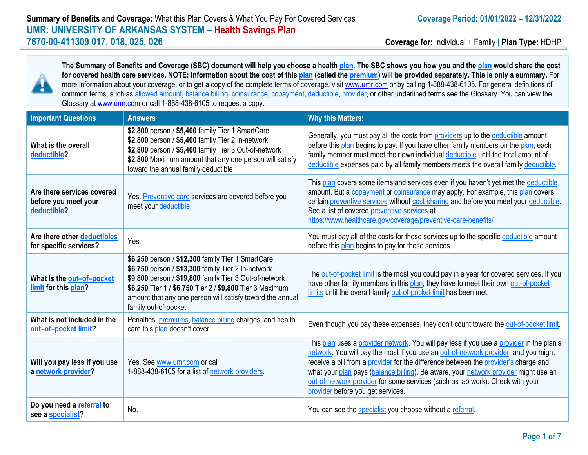

**The Summary of Benefits and Coverage (SBC) document will help you choose a health plan. The SBC shows you how you and the plan would share the cost for covered health care services. NOTE: Information about the cost of this plan (called the premium) will be provided separately. This is only a summary.** For more information about your coverage, or to get a copy of the complete terms of coverage, visit [www.umr.com](http://www.umr.com/) or by calling 1-888-438-6105. For general definitions of common terms, such as allowed amount, balance billing, coinsurance, copayment, deductible, provider, or other underlined terms see the Glossary. You can view the Glossary a[t www.umr.com](http://www.umr.com/) or call 1-888-438-6105 to request a copy.

| <b>Important Questions</b>                                        | <b>Answers</b>                                                                                                                                                                                                                                                                                                     | <b>Why this Matters:</b>                                                                                                                                                                                                                                                                                                                                                                                                                                                            |
|-------------------------------------------------------------------|--------------------------------------------------------------------------------------------------------------------------------------------------------------------------------------------------------------------------------------------------------------------------------------------------------------------|-------------------------------------------------------------------------------------------------------------------------------------------------------------------------------------------------------------------------------------------------------------------------------------------------------------------------------------------------------------------------------------------------------------------------------------------------------------------------------------|
| What is the overall<br>deductible?                                | \$2,800 person / \$5,400 family Tier 1 SmartCare<br>\$2,800 person / \$5,400 family Tier 2 In-network<br>\$2,800 person / \$5,400 family Tier 3 Out-of-network<br>\$2,800 Maximum amount that any one person will satisfy<br>toward the annual family deductible                                                   | Generally, you must pay all the costs from providers up to the deductible amount<br>before this plan begins to pay. If you have other family members on the plan, each<br>family member must meet their own individual deductible until the total amount of<br>deductible expenses paid by all family members meets the overall family deductible.                                                                                                                                  |
| Are there services covered<br>before you meet your<br>deductible? | Yes. Preventive care services are covered before you<br>meet your deductible.                                                                                                                                                                                                                                      | This plan covers some items and services even if you haven't yet met the deductible<br>amount. But a copayment or coinsurance may apply. For example, this plan covers<br>certain preventive services without cost-sharing and before you meet your deductible.<br>See a list of covered preventive services at<br>https://www.healthcare.gov/coverage/preventive-care-benefits/                                                                                                    |
| Are there other deductibles<br>for specific services?             | Yes.                                                                                                                                                                                                                                                                                                               | You must pay all of the costs for these services up to the specific deductible amount<br>before this plan begins to pay for these services.                                                                                                                                                                                                                                                                                                                                         |
| What is the out-of-pocket<br>limit for this plan?                 | \$6,250 person / \$12,300 family Tier 1 SmartCare<br>\$6,750 person / \$13,300 family Tier 2 In-network<br>\$9,800 person / \$19,800 family Tier 3 Out-of-network<br>\$6,250 Tier 1 / \$6,750 Tier 2 / \$9,800 Tier 3 Maximum<br>amount that any one person will satisfy toward the annual<br>family out-of-pocket | The out-of-pocket limit is the most you could pay in a year for covered services. If you<br>have other family members in this plan, they have to meet their own out-of-pocket<br>limits until the overall family out-of-pocket limit has been met.                                                                                                                                                                                                                                  |
| What is not included in the<br>out-of-pocket limit?               | Penalties, premiums, balance billing charges, and health<br>care this plan doesn't cover.                                                                                                                                                                                                                          | Even though you pay these expenses, they don't count toward the out-of-pocket limit.                                                                                                                                                                                                                                                                                                                                                                                                |
| Will you pay less if you use<br>a network provider?               | Yes. See www.umr.com or call<br>1-888-438-6105 for a list of network providers.                                                                                                                                                                                                                                    | This plan uses a provider network. You will pay less if you use a provider in the plan's<br>network. You will pay the most if you use an out-of-network provider, and you might<br>receive a bill from a provider for the difference between the provider's charge and<br>what your plan pays (balance billing). Be aware, your network provider might use an<br>out-of-network provider for some services (such as lab work). Check with your<br>provider before you get services. |
| Do you need a referral to<br>see a specialist?                    | No.                                                                                                                                                                                                                                                                                                                | You can see the specialist you choose without a referral.                                                                                                                                                                                                                                                                                                                                                                                                                           |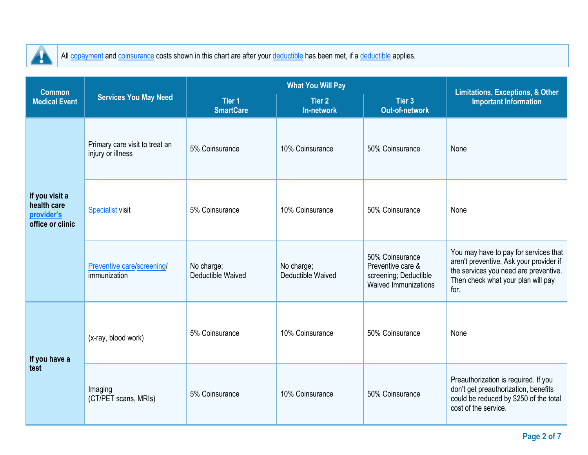

 $\overline{a}$ 

All copayment and coinsurance costs shown in this chart are after your deductible has been met, if a deductible applies.

| <b>Common</b>                                                   |                                                     |                                 | <b>Limitations, Exceptions, &amp; Other</b> |                                                                                              |                                                                                                                                                                         |  |
|-----------------------------------------------------------------|-----------------------------------------------------|---------------------------------|---------------------------------------------|----------------------------------------------------------------------------------------------|-------------------------------------------------------------------------------------------------------------------------------------------------------------------------|--|
| <b>Medical Event</b>                                            | <b>Services You May Need</b>                        | Tier 1<br><b>SmartCare</b>      | Tier 2<br>In-network                        | <b>Tier 3</b><br><b>Out-of-network</b>                                                       | <b>Important Information</b>                                                                                                                                            |  |
| If you visit a<br>health care<br>provider's<br>office or clinic | Primary care visit to treat an<br>injury or illness | 5% Coinsurance                  | 10% Coinsurance                             | 50% Coinsurance                                                                              | None                                                                                                                                                                    |  |
|                                                                 | <b>Specialist</b> visit                             | 5% Coinsurance                  | 10% Coinsurance                             | 50% Coinsurance                                                                              | None                                                                                                                                                                    |  |
|                                                                 | Preventive care/screening/<br>immunization          | No charge;<br>Deductible Waived | No charge;<br>Deductible Waived             | 50% Coinsurance<br>Preventive care &<br>screening; Deductible<br><b>Waived Immunizations</b> | You may have to pay for services that<br>aren't preventive. Ask your provider if<br>the services you need are preventive.<br>Then check what your plan will pay<br>for. |  |
| If you have a<br>test                                           | (x-ray, blood work)                                 | 5% Coinsurance                  | 10% Coinsurance                             | 50% Coinsurance                                                                              | None                                                                                                                                                                    |  |
|                                                                 | Imaging<br>(CT/PET scans, MRIs)                     | 5% Coinsurance                  | 10% Coinsurance                             | 50% Coinsurance                                                                              | Preauthorization is required. If you<br>don't get preauthorization, benefits<br>could be reduced by \$250 of the total<br>cost of the service.                          |  |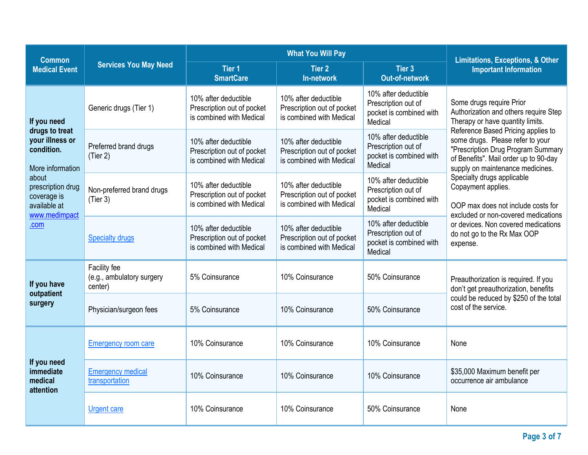| <b>Common</b>                                                                                                                                                            |                                                      | <b>What You Will Pay</b>                                                       |                                                                                |                                                                                   | <b>Limitations, Exceptions, &amp; Other</b>                                                                                                                                                                                                                                                                                                                                                                                                                                                                           |  |
|--------------------------------------------------------------------------------------------------------------------------------------------------------------------------|------------------------------------------------------|--------------------------------------------------------------------------------|--------------------------------------------------------------------------------|-----------------------------------------------------------------------------------|-----------------------------------------------------------------------------------------------------------------------------------------------------------------------------------------------------------------------------------------------------------------------------------------------------------------------------------------------------------------------------------------------------------------------------------------------------------------------------------------------------------------------|--|
| <b>Medical Event</b>                                                                                                                                                     | <b>Services You May Need</b>                         | <b>Tier 1</b><br><b>SmartCare</b>                                              | <b>Tier 2</b><br>In-network                                                    | Tier 3<br><b>Out-of-network</b>                                                   | <b>Important Information</b>                                                                                                                                                                                                                                                                                                                                                                                                                                                                                          |  |
| If you need<br>drugs to treat<br>your illness or<br>condition.<br>More information<br>about<br>prescription drug<br>coverage is<br>available at<br>www.medimpact<br>.com | Generic drugs (Tier 1)                               | 10% after deductible<br>Prescription out of pocket<br>is combined with Medical | 10% after deductible<br>Prescription out of pocket<br>is combined with Medical | 10% after deductible<br>Prescription out of<br>pocket is combined with<br>Medical | Some drugs require Prior<br>Authorization and others require Step<br>Therapy or have quantity limits.<br>Reference Based Pricing applies to<br>some drugs. Please refer to your<br>"Prescription Drug Program Summary<br>of Benefits". Mail order up to 90-day<br>supply on maintenance medicines.<br>Specialty drugs applicable<br>Copayment applies.<br>OOP max does not include costs for<br>excluded or non-covered medications<br>or devices. Non covered medications<br>do not go to the Rx Max OOP<br>expense. |  |
|                                                                                                                                                                          | Preferred brand drugs<br>(Tier 2)                    | 10% after deductible<br>Prescription out of pocket<br>is combined with Medical | 10% after deductible<br>Prescription out of pocket<br>is combined with Medical | 10% after deductible<br>Prescription out of<br>pocket is combined with<br>Medical |                                                                                                                                                                                                                                                                                                                                                                                                                                                                                                                       |  |
|                                                                                                                                                                          | Non-preferred brand drugs<br>(Tier 3)                | 10% after deductible<br>Prescription out of pocket<br>is combined with Medical | 10% after deductible<br>Prescription out of pocket<br>is combined with Medical | 10% after deductible<br>Prescription out of<br>pocket is combined with<br>Medical |                                                                                                                                                                                                                                                                                                                                                                                                                                                                                                                       |  |
|                                                                                                                                                                          | <b>Specialty drugs</b>                               | 10% after deductible<br>Prescription out of pocket<br>is combined with Medical | 10% after deductible<br>Prescription out of pocket<br>is combined with Medical | 10% after deductible<br>Prescription out of<br>pocket is combined with<br>Medical |                                                                                                                                                                                                                                                                                                                                                                                                                                                                                                                       |  |
| If you have<br>outpatient<br>surgery                                                                                                                                     | Facility fee<br>(e.g., ambulatory surgery<br>center) | 5% Coinsurance                                                                 | 10% Coinsurance                                                                | 50% Coinsurance                                                                   | Preauthorization is required. If you<br>don't get preauthorization, benefits<br>could be reduced by \$250 of the total<br>cost of the service.                                                                                                                                                                                                                                                                                                                                                                        |  |
|                                                                                                                                                                          | Physician/surgeon fees                               | 5% Coinsurance                                                                 | 10% Coinsurance                                                                | 50% Coinsurance                                                                   |                                                                                                                                                                                                                                                                                                                                                                                                                                                                                                                       |  |
| If you need<br>immediate<br>medical<br>attention                                                                                                                         | <b>Emergency room care</b>                           | 10% Coinsurance                                                                | 10% Coinsurance                                                                | 10% Coinsurance                                                                   | None                                                                                                                                                                                                                                                                                                                                                                                                                                                                                                                  |  |
|                                                                                                                                                                          | <b>Emergency medical</b><br>transportation           | 10% Coinsurance                                                                | 10% Coinsurance                                                                | 10% Coinsurance                                                                   | \$35,000 Maximum benefit per<br>occurrence air ambulance                                                                                                                                                                                                                                                                                                                                                                                                                                                              |  |
|                                                                                                                                                                          | <b>Urgent care</b>                                   | 10% Coinsurance                                                                | 10% Coinsurance                                                                | 50% Coinsurance                                                                   | None                                                                                                                                                                                                                                                                                                                                                                                                                                                                                                                  |  |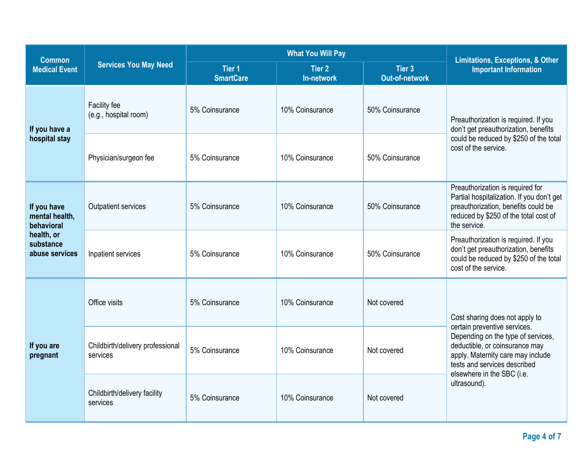| <b>Common</b>                                                                            |                                              | <b>What You Will Pay</b>              |                                    |                                 | <b>Limitations, Exceptions, &amp; Other</b>                                                                                                                                                                 |  |
|------------------------------------------------------------------------------------------|----------------------------------------------|---------------------------------------|------------------------------------|---------------------------------|-------------------------------------------------------------------------------------------------------------------------------------------------------------------------------------------------------------|--|
| <b>Medical Event</b>                                                                     | <b>Services You May Need</b>                 | Tier <sub>1</sub><br><b>SmartCare</b> | <b>Tier 2</b><br><b>In-network</b> | Tier 3<br><b>Out-of-network</b> | <b>Important Information</b>                                                                                                                                                                                |  |
| If you have a                                                                            | Facility fee<br>(e.g., hospital room)        | 5% Coinsurance                        | 10% Coinsurance                    | 50% Coinsurance                 | Preauthorization is required. If you<br>don't get preauthorization, benefits<br>could be reduced by \$250 of the total<br>cost of the service.                                                              |  |
| hospital stay                                                                            | Physician/surgeon fee                        | 5% Coinsurance                        | 10% Coinsurance                    | 50% Coinsurance                 |                                                                                                                                                                                                             |  |
| If you have<br>mental health,<br>behavioral<br>health, or<br>substance<br>abuse services | Outpatient services                          | 5% Coinsurance                        | 10% Coinsurance                    | 50% Coinsurance                 | Preauthorization is required for<br>Partial hospitalization. If you don't get<br>preauthorization, benefits could be<br>reduced by \$250 of the total cost of<br>the service.                               |  |
|                                                                                          | Inpatient services                           | 5% Coinsurance                        | 10% Coinsurance                    | 50% Coinsurance                 | Preauthorization is required. If you<br>don't get preauthorization, benefits<br>could be reduced by \$250 of the total<br>cost of the service.                                                              |  |
| If you are<br>pregnant                                                                   | Office visits                                | 5% Coinsurance                        | 10% Coinsurance                    | Not covered                     | Cost sharing does not apply to<br>certain preventive services.<br>Depending on the type of services,<br>deductible, or coinsurance may<br>apply. Maternity care may include<br>tests and services described |  |
|                                                                                          | Childbirth/delivery professional<br>services | 5% Coinsurance                        | 10% Coinsurance                    | Not covered                     |                                                                                                                                                                                                             |  |
|                                                                                          | Childbirth/delivery facility<br>services     | 5% Coinsurance                        | 10% Coinsurance                    | Not covered                     | elsewhere in the SBC (i.e.<br>ultrasound).                                                                                                                                                                  |  |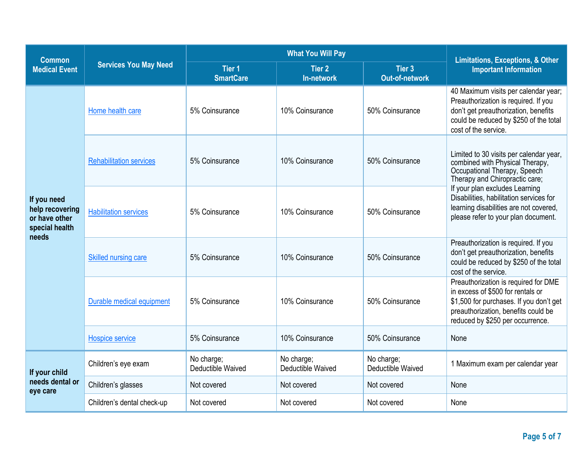| <b>Common</b>                                                              |                                |                                   | <b>Limitations, Exceptions, &amp; Other</b> |                                 |                                                                                                                                                                                                                                                                                                            |  |
|----------------------------------------------------------------------------|--------------------------------|-----------------------------------|---------------------------------------------|---------------------------------|------------------------------------------------------------------------------------------------------------------------------------------------------------------------------------------------------------------------------------------------------------------------------------------------------------|--|
| <b>Medical Event</b>                                                       | <b>Services You May Need</b>   | <b>Tier 1</b><br><b>SmartCare</b> | <b>Tier 2</b><br>In-network                 | Tier 3<br><b>Out-of-network</b> | <b>Important Information</b>                                                                                                                                                                                                                                                                               |  |
| If you need<br>help recovering<br>or have other<br>special health<br>needs | Home health care               | 5% Coinsurance                    | 10% Coinsurance                             | 50% Coinsurance                 | 40 Maximum visits per calendar year;<br>Preauthorization is required. If you<br>don't get preauthorization, benefits<br>could be reduced by \$250 of the total<br>cost of the service.                                                                                                                     |  |
|                                                                            | <b>Rehabilitation services</b> | 5% Coinsurance                    | 10% Coinsurance                             | 50% Coinsurance                 | Limited to 30 visits per calendar year,<br>combined with Physical Therapy,<br>Occupational Therapy, Speech<br>Therapy and Chiropractic care;<br>If your plan excludes Learning<br>Disabilities, habilitation services for<br>learning disabilities are not covered,<br>please refer to your plan document. |  |
|                                                                            | <b>Habilitation services</b>   | 5% Coinsurance                    | 10% Coinsurance                             | 50% Coinsurance                 |                                                                                                                                                                                                                                                                                                            |  |
|                                                                            | Skilled nursing care           | 5% Coinsurance                    | 10% Coinsurance                             | 50% Coinsurance                 | Preauthorization is required. If you<br>don't get preauthorization, benefits<br>could be reduced by \$250 of the total<br>cost of the service.                                                                                                                                                             |  |
|                                                                            | Durable medical equipment      | 5% Coinsurance                    | 10% Coinsurance                             | 50% Coinsurance                 | Preauthorization is required for DME<br>in excess of \$500 for rentals or<br>\$1,500 for purchases. If you don't get<br>preauthorization, benefits could be<br>reduced by \$250 per occurrence.                                                                                                            |  |
|                                                                            | <b>Hospice service</b>         | 5% Coinsurance                    | 10% Coinsurance                             | 50% Coinsurance                 | None                                                                                                                                                                                                                                                                                                       |  |
| If your child                                                              | Children's eye exam            | No charge;<br>Deductible Waived   | No charge;<br>Deductible Waived             | No charge;<br>Deductible Waived | 1 Maximum exam per calendar year                                                                                                                                                                                                                                                                           |  |
| needs dental or<br>eye care                                                | Children's glasses             | Not covered                       | Not covered                                 | Not covered                     | None                                                                                                                                                                                                                                                                                                       |  |
|                                                                            | Children's dental check-up     | Not covered                       | Not covered                                 | Not covered                     | None                                                                                                                                                                                                                                                                                                       |  |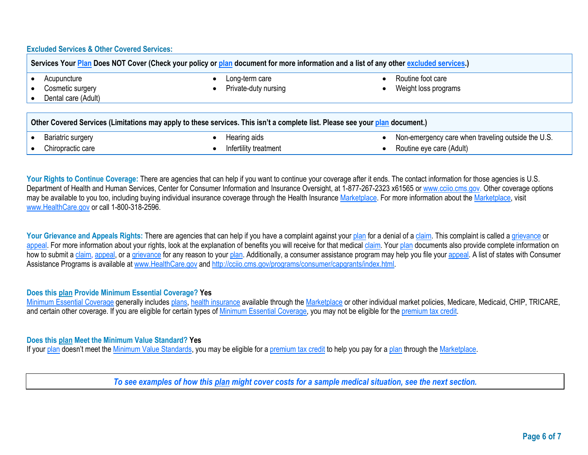## **Excluded Services & Other Covered Services:**

| Services Your Plan Does NOT Cover (Check your policy or plan document for more information and a list of any other excluded services.) |                      |                                                    |  |  |  |
|----------------------------------------------------------------------------------------------------------------------------------------|----------------------|----------------------------------------------------|--|--|--|
| Acupuncture                                                                                                                            | Long-term care       | Routine foot care                                  |  |  |  |
| Cosmetic surgery                                                                                                                       | Private-duty nursing | Weight loss programs                               |  |  |  |
| Dental care (Adult)                                                                                                                    |                      |                                                    |  |  |  |
|                                                                                                                                        |                      |                                                    |  |  |  |
| Other Covered Services (Limitations may apply to these services. This isn't a complete list. Please see your plan document.)           |                      |                                                    |  |  |  |
| Bariatric surgery                                                                                                                      | Hearing aids         | Non-emergency care when traveling outside the U.S. |  |  |  |

Your Rights to Continue Coverage: There are agencies that can help if you want to continue your coverage after it ends. The contact information for those agencies is U.S. Department of Health and Human Services, Center for Consumer Information and Insurance Oversight, at 1-877-267-2323 x61565 or [www.cciio.cms.gov.](http://www.cciio.cms.gov/) Other coverage options may be available to you too, including buying individual insurance coverage through the Health Insurance Marketplace. For more information about the Marketplace, visit [www.HealthCare.gov](http://www.healthcare.gov/) or call 1-800-318-2596.

• Chiropractic care • Infertility treatment • Routine eye care (Adult)

Your Grievance and Appeals Rights: There are agencies that can help if you have a complaint against your plan for a denial of a claim. This complaint is called a grievance or appeal. For more information about your rights, look at the explanation of benefits you will receive for that medical claim. Your plan documents also provide complete information on how to submit a claim, appeal, or a grievance for any reason to your plan. Additionally, a consumer assistance program may help you file your appeal. A list of states with Consumer Assistance Programs is available at [www.HealthCare.gov](http://www.healthcare.gov/) an[d http://cciio.cms.gov/programs/consumer/capgrants/index.html.](http://cciio.cms.gov/programs/consumer/capgrants/index.html)

## **Does this plan Provide Minimum Essential Coverage? Yes**

Minimum Essential Coverage generally includes plans, health insurance available through the Marketplace or other individual market policies, Medicare, Medicaid, CHIP, TRICARE, and certain other coverage. If you are eligible for certain types of Minimum Essential Coverage, you may not be eligible for the premium tax credit.

## **Does this plan Meet the Minimum Value Standard? Yes**

If your plan doesn't meet the Minimum Value Standards, you may be eligible for a premium tax credit to help you pay for a plan through the Marketplace.

*To see examples of how this plan might cover costs for a sample medical situation, see the next section.*